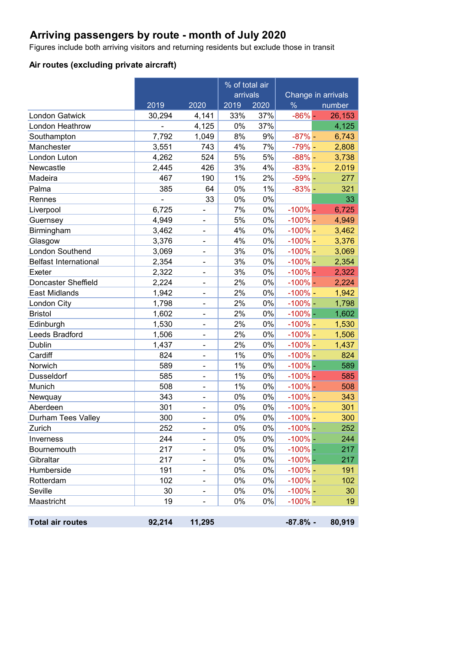# **Arriving passengers by route - month of July 2020**

Figures include both arriving visitors and returning residents but exclude those in transit

## **Air routes (excluding private aircraft)**

|                              |                          |        | % of total air |       |               |                    |
|------------------------------|--------------------------|--------|----------------|-------|---------------|--------------------|
|                              |                          |        | arrivals       |       |               | Change in arrivals |
|                              | 2019                     | 2020   | 2019           | 2020  | $\frac{0}{6}$ | number             |
| <b>London Gatwick</b>        | 30,294                   | 4,141  | 33%            | 37%   | $-86%$        | 26,153             |
| London Heathrow              | $\overline{\phantom{0}}$ | 4,125  | 0%             | 37%   |               | 4,125              |
| Southampton                  | 7,792                    | 1,049  | 8%             | 9%    | $-87% -$      | 6,743              |
| Manchester                   | 3,551                    | 743    | 4%             | 7%    | $-79%$ -      | 2,808              |
| London Luton                 | 4,262                    | 524    | 5%             | 5%    | $-88%$ -      | 3,738              |
| Newcastle                    | 2,445                    | 426    | 3%             | 4%    | $-83%$ -      | 2,019              |
| Madeira                      | 467                      | 190    | 1%             | 2%    | $-59%$ -      | 277                |
| Palma                        | 385                      | 64     | 0%             | 1%    | $-83%$ -      | 321                |
| Rennes                       | $\blacksquare$           | 33     | 0%             | 0%    |               | 33                 |
| Liverpool                    | 6,725                    |        | 7%             | 0%    | $-100%$ –     | 6,725              |
| Guernsey                     | 4,949                    |        | 5%             | 0%    | $-100\%$ –    | 4,949              |
| Birmingham                   | 3,462                    |        | 4%             | 0%    | $-100\%$ –    | 3,462              |
| Glasgow                      | 3,376                    | ۰      | 4%             | 0%    | $-100\%$ -    | 3,376              |
| London Southend              | 3,069                    |        | 3%             | 0%    | $-100\%$ -    | 3,069              |
| <b>Belfast International</b> | 2,354                    | -      | 3%             | $0\%$ | $-100%$ -     | 2,354              |
| Exeter                       | 2,322                    |        | 3%             | 0%    | $-100\%$ –    | 2,322              |
| <b>Doncaster Sheffield</b>   | 2,224                    | ۰      | 2%             | 0%    | $-100%$ -     | 2,224              |
| East Midlands                | 1,942                    |        | 2%             | 0%    | $-100\%$ -    | 1,942              |
| London City                  | 1,798                    |        | 2%             | $0\%$ | $-100%$ -     | 1,798              |
| <b>Bristol</b>               | 1,602                    |        | 2%             | 0%    | $-100%$ -     | 1,602              |
| Edinburgh                    | 1,530                    | ۰      | 2%             | 0%    | $-100\%$ -    | 1,530              |
| Leeds Bradford               | 1,506                    |        | 2%             | 0%    | $-100%$ -     | 1,506              |
| Dublin                       | 1,437                    | -      | 2%             | 0%    | $-100\%$ –    | 1,437              |
| Cardiff                      | 824                      |        | 1%             | 0%    | $-100\%$ -    | 824                |
| Norwich                      | 589                      | ۰      | 1%             | 0%    | $-100%$ -     | 589                |
| Dusseldorf                   | 585                      |        | 1%             | 0%    | $-100%$ –     | 585                |
| Munich                       | 508                      |        | 1%             | $0\%$ | $-100\%$ –    | 508                |
| Newquay                      | 343                      |        | 0%             | 0%    | $-100\%$ -    | 343                |
| Aberdeen                     | 301                      | ۰      | 0%             | 0%    | $-100\%$ -    | 301                |
| Durham Tees Valley           | 300                      |        | 0%             | 0%    | $-100\%$ -    | 300                |
| Zurich                       | 252                      |        | 0%             | 0%    | $-100%$ -     | 252                |
| Inverness                    | 244                      |        | 0%             | 0%    | $-100%$ $-$   | 244                |
| <b>Bournemouth</b>           | 217                      | ۰      | 0%             | 0%    | $-100\%$ –    | 217                |
| Gibraltar                    | 217                      |        | 0%             | 0%    | $-100%$ –     | 217                |
| Humberside                   | 191                      |        | 0%             | 0%    | $-100\%$ –    | 191                |
| Rotterdam                    | 102                      |        | 0%             | 0%    | $-100\%$ -    | 102                |
| Seville                      | 30                       | Ξ.     | 0%             | 0%    | $-100%$ -     | 30                 |
| Maastricht                   | 19                       |        | 0%             | 0%    | $-100\%$ -    | 19                 |
|                              |                          |        |                |       |               |                    |
| <b>Total air routes</b>      | 92,214                   | 11,295 |                |       | $-87.8%$ -    | 80,919             |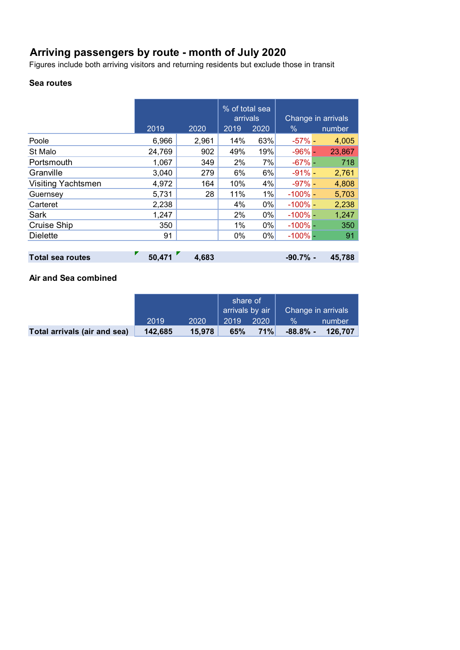# **Arriving passengers by route - month of July 2020**

Figures include both arriving visitors and returning residents but exclude those in transit

### **Sea routes**

|                           |        |       | % of total sea<br>arrivals |      |              | Change in arrivals |
|---------------------------|--------|-------|----------------------------|------|--------------|--------------------|
|                           | 2019   | 2020  | 2019                       | 2020 | $\%$         | number             |
| Poole                     | 6,966  | 2,961 | 14%                        | 63%  | $-57\%$ -    | 4,005              |
| St Malo                   | 24,769 | 902   | 49%                        | 19%  | $-96%$       | 23,867             |
| Portsmouth                | 1,067  | 349   | 2%                         | 7%   | $-67\%$ -    | 718                |
| Granville                 | 3,040  | 279   | 6%                         | 6%   | $-91%$       | 2,761              |
| <b>Visiting Yachtsmen</b> | 4,972  | 164   | 10%                        | 4%   | $-97% -$     | 4,808              |
| Guernsey                  | 5,731  | 28    | 11%                        | 1%   | $-100\%$ –   | 5,703              |
| Carteret                  | 2,238  |       | 4%                         | 0%   | $-100\%$ –   | 2,238              |
| Sark                      | 1,247  |       | 2%                         | 0%   | $-100\%$ $-$ | 1,247              |
| Cruise Ship               | 350    |       | 1%                         | 0%   | $-100\%$ -   | 350                |
| <b>Dielette</b>           | 91     |       | $0\%$                      | 0%   | $-100\%$ -   | 91                 |
|                           |        |       |                            |      |              |                    |
| <b>Total sea routes</b>   | 50,471 | 4,683 |                            |      | $-90.7%$ -   | 45,788             |

### **Air and Sea combined**

|                              |         |        | share of<br>$\overline{\phantom{a}}$ arrivals by air |      | Change in arrivals |         |
|------------------------------|---------|--------|------------------------------------------------------|------|--------------------|---------|
|                              | 2019    | 2020   | 2019                                                 | 2020 | $\frac{1}{2}$      | number  |
| Total arrivals (air and sea) | 142,685 | 15.978 | 65%                                                  | 71%  | $-88.8\%$ -        | 126.707 |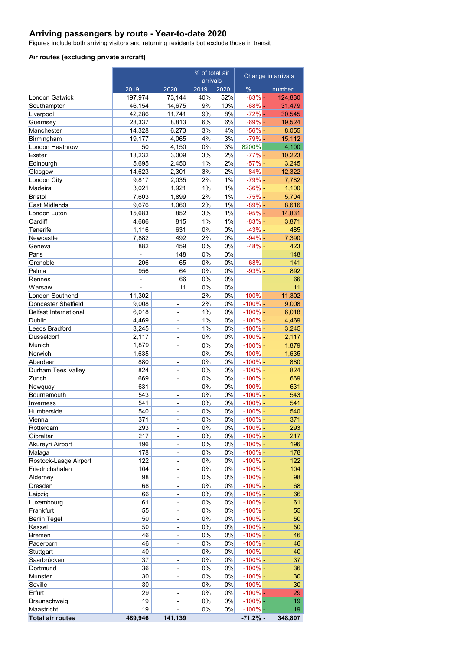### **Arriving passengers by route - Year-to-date 2020**

Figures include both arriving visitors and returning residents but exclude those in transit

#### **Air routes (excluding private aircraft)**

|                              | % of total air<br>arrivals |                                                |          | Change in arrivals |                        |                |
|------------------------------|----------------------------|------------------------------------------------|----------|--------------------|------------------------|----------------|
|                              | 2019                       | 2020                                           | 2019     | 2020               | $\%$                   | number         |
| <b>London Gatwick</b>        | 197,974                    | 73,144                                         | 40%      | 52%                | $-63%$ -               | 124,830        |
| Southampton                  | 46,154                     | 14,675                                         | 9%       | 10%                | $-68% -$               | 31,479         |
| Liverpool                    | 42,286                     | 11,741                                         | 9%       | 8%                 | $-72%$ -               | 30,545         |
| Guernsey                     | 28,337                     | 8,813                                          | 6%       | 6%                 | $-69% -$               | 19,524         |
| Manchester                   | 14,328                     | 6,273                                          | 3%       | 4%                 | $-56%$ -               | 8,055          |
| Birmingham                   | 19,177                     | 4,065                                          | 4%       | 3%                 | $-79%$ -               | 15,112         |
| London Heathrow              | 50                         | 4,150                                          | 0%       | 3%                 | 8200%                  | 4,100          |
| Exeter                       | 13,232                     | 3,009                                          | 3%       | 2%                 | $-77%$ -               | 10,223         |
| Edinburgh                    | 5,695                      | 2,450                                          | 1%       | 2%                 | $-57%$ -               | 3,245          |
| Glasgow                      | 14,623                     | 2,301                                          | 3%       | 2%                 | $-84%$ -               | 12,322         |
| London City                  | 9,817                      | 2,035                                          | 2%<br>1% | 1%<br>1%           | $-79% -$               | 7,782          |
| Madeira<br><b>Bristol</b>    | 3,021<br>7,603             | 1,921<br>1,899                                 | 2%       | 1%                 | $-36% -$<br>$-75%$ -   | 1,100<br>5,704 |
| <b>East Midlands</b>         | 9,676                      | 1,060                                          | 2%       | 1%                 | $-89%$ -               | 8,616          |
| London Luton                 | 15,683                     | 852                                            | 3%       | 1%                 | $-95% -$               | 14,831         |
| Cardiff                      | 4,686                      | 815                                            | 1%       | 1%                 | $-83%$ -               | 3,871          |
| Tenerife                     | 1,116                      | 631                                            | 0%       | 0%                 | $-43%$ -               | 485            |
| Newcastle                    | 7,882                      | 492                                            | 2%       | 0%                 | $-94%$ -               | 7,390          |
| Geneva                       | 882                        | 459                                            | 0%       | 0%                 | $-48% -$               | 423            |
| Paris                        | ÷,                         | 148                                            | 0%       | 0%                 |                        | 148            |
| Grenoble                     | 206                        | 65                                             | 0%       | 0%                 | $-68%$ -               | 141            |
| Palma                        | 956                        | 64                                             | 0%       | 0%                 | $-93%$ -               | 892            |
| Rennes                       | $\overline{a}$             | 66                                             | 0%       | 0%                 |                        | 66             |
| Warsaw                       | $\overline{a}$             | 11                                             | 0%       | 0%                 |                        | 11             |
| London Southend              | 11,302                     | $\overline{a}$                                 | 2%       | 0%                 | $-100% -$              | 11,302         |
| Doncaster Sheffield          | 9,008                      | $\overline{a}$                                 | 2%       | 0%                 | $-100% -$              | 9,008          |
| <b>Belfast International</b> | 6,018                      | $\overline{a}$                                 | 1%       | 0%                 | $-100% -$              | 6,018          |
| Dublin                       | 4,469                      | $\overline{a}$                                 | 1%       | 0%                 | $-100% -$              | 4,469          |
| Leeds Bradford               | 3,245                      | $\qquad \qquad \blacksquare$                   | 1%       | 0%                 | $-100% -$              | 3,245          |
| Dusseldorf                   | 2,117                      | $\overline{a}$                                 | 0%       | 0%                 | $-100\%$ -             | 2,117          |
| Munich                       | 1,879                      | $\overline{\phantom{0}}$                       | 0%       | 0%                 | $-100\%$ -             | 1,879          |
| Norwich                      | 1,635                      | $\frac{1}{2}$                                  | 0%       | 0%                 | $-100\%$ -             | 1,635          |
| Aberdeen                     | 880                        | $\blacksquare$                                 | 0%       | 0%                 | $-100\%$ -             | 880            |
| Durham Tees Valley           | 824                        | $\frac{1}{2}$                                  | 0%       | 0%                 | $-100\%$ -             | 824            |
| Zurich                       | 669                        | $\overline{a}$                                 | 0%       | 0%                 | $-100\%$ -             | 669            |
| Newquay                      | 631                        | $\frac{1}{2}$                                  | 0%       | 0%                 | $-100\%$ -             | 631            |
| Bournemouth                  | 543                        | $\overline{a}$                                 | 0%       | 0%                 | $-100\%$ -             | 543            |
| Inverness                    | 541                        | $\frac{1}{2}$                                  | 0%       | 0%                 | $-100\%$ -             | 541            |
| Humberside                   | 540                        | $\overline{\phantom{0}}$                       | 0%       | 0%                 | $-100\%$ -             | 540            |
| Vienna                       | 371                        | $\overline{\phantom{a}}$                       | 0%       | 0%                 | $-100% -$              | 371            |
| Rotterdam                    | 293                        | $\overline{\phantom{0}}$                       | 0%       | 0%                 | $-100\%$ -             | 293            |
| Gibraltar                    | 217                        | $\overline{a}$                                 | 0%       | 0%                 | $-100% -$<br>$-100% -$ | 217            |
| Akureyri Airport<br>Malaga   | 196<br>178                 | $\qquad \qquad \blacksquare$<br>$\overline{a}$ | 0%<br>0% | 0%<br>0%           | $-100% -$              | 196<br>178     |
| Rostock-Laage Airport        | 122                        | $\frac{1}{2}$                                  | 0%       | 0%                 | $-100\%$ -             | 122            |
| Friedrichshafen              | 104                        | $\overline{\phantom{0}}$                       | 0%       | 0%                 | $-100\%$ -             | 104            |
| Alderney                     | 98                         | $\blacksquare$                                 | 0%       | 0%                 | $-100\%$ -             | 98             |
| Dresden                      | 68                         | $\overline{a}$                                 | 0%       | 0%                 | $-100\%$ -             | 68             |
| Leipzig                      | 66                         | $\overline{\phantom{0}}$                       | 0%       | 0%                 | $-100% -$              | 66             |
| Luxembourg                   | 61                         | $\overline{\phantom{0}}$                       | 0%       | 0%                 | $-100\%$ -             | 61             |
| Frankfurt                    | 55                         | $\overline{a}$                                 | 0%       | 0%                 | $-100% -$              | 55             |
| <b>Berlin Tegel</b>          | 50                         | $\overline{\phantom{a}}$                       | 0%       | 0%                 | $-100\%$ -             | 50             |
| Kassel                       | 50                         | $\overline{\phantom{a}}$                       | 0%       | 0%                 | $-100\%$ -             | 50             |
| <b>Bremen</b>                | 46                         | $\frac{1}{2}$                                  | 0%       | 0%                 | $-100\%$ -             | 46             |
| Paderborn                    | 46                         | $\overline{\phantom{0}}$                       | 0%       | 0%                 | $-100\%$ -             | 46             |
| Stuttgart                    | 40                         | $\blacksquare$                                 | 0%       | 0%                 | $-100\%$ -             | 40             |
| Saarbrücken                  | 37                         | $\qquad \qquad \blacksquare$                   | 0%       | 0%                 | $-100\%$ -             | 37             |
| Dortmund                     | 36                         | $\frac{1}{2}$                                  | 0%       | 0%                 | $-100\%$ -             | 36             |
| Munster                      | 30                         | $\qquad \qquad \blacksquare$                   | $0\%$    | 0%                 | $-100%$ -              | 30             |
| Seville                      | 30                         | $\frac{1}{2}$                                  | 0%       | 0%                 | $-100% -$              | 30             |
| Erfurt                       | 29                         | $\blacksquare$                                 | 0%       | 0%                 | $-100\%$ –             | 29             |
| Braunschweig                 | 19                         | $\qquad \qquad \blacksquare$                   | 0%       | 0%                 | $-100%$ –              | 19             |
| Maastricht                   | 19                         | $\overline{a}$                                 | 0%       | 0%                 | $-100%$ -              | 19             |
| <b>Total air routes</b>      | 489,946                    | 141,139                                        |          |                    | $-71.2%$ -             | 348,807        |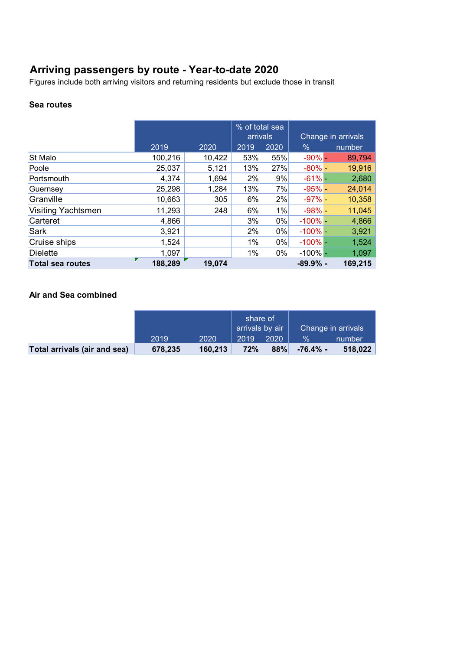# **Arriving passengers by route - Year-to-date 2020**

Figures include both arriving visitors and returning residents but exclude those in transit

### **Sea routes**

|                           |         |        | % of total sea |      |             |                    |
|---------------------------|---------|--------|----------------|------|-------------|--------------------|
|                           |         |        | arrivals       |      |             | Change in arrivals |
|                           | 2019    | 2020   | 2019           | 2020 | %           | number             |
| St Malo                   | 100,216 | 10,422 | 53%            | 55%  | $-90%$ -    | 89,794             |
| Poole                     | 25,037  | 5,121  | 13%            | 27%  | $-80%$ -    | 19,916             |
| Portsmouth                | 4,374   | 1,694  | 2%             | 9%   | $-61%$      | 2,680              |
| Guernsey                  | 25,298  | 1,284  | 13%            | 7%   | $-95% -$    | 24,014             |
| Granville                 | 10,663  | 305    | 6%             | 2%   | $-97\%$ -   | 10,358             |
| <b>Visiting Yachtsmen</b> | 11,293  | 248    | 6%             | 1%   | $-98%$      | 11,045             |
| Carteret                  | 4,866   |        | 3%             | 0%   | $-100\%$ -  | 4,866              |
| Sark                      | 3,921   |        | 2%             | 0%   | $-100\%$ -  | 3,921              |
| Cruise ships              | 1,524   |        | 1%             | 0%   | $-100\%$ -  | 1,524              |
| <b>Dielette</b>           | 1,097   |        | 1%             | 0%   | $-100\%$ -  | 1,097              |
| <b>Total sea routes</b>   | 188,289 | 19,074 |                |      | $-89.9\%$ - | 169,215            |

### **Air and Sea combined**

|                              |         |         | share of<br>$\mid$ arrivals by air |      | Change in arrivals |         |
|------------------------------|---------|---------|------------------------------------|------|--------------------|---------|
|                              | 2019    | 2020    | 2019                               | 2020 | $\frac{1}{2}$      | number  |
| Total arrivals (air and sea) | 678,235 | 160.213 | 72%                                | 88%  | -76.4% -           | 518,022 |